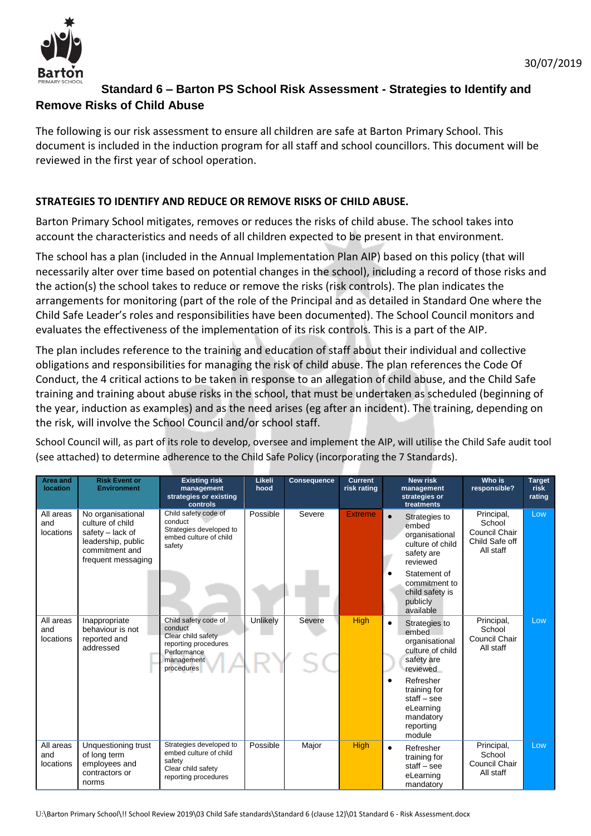

## **Standard 6 – Barton PS School Risk Assessment - Strategies to Identify and Remove Risks of Child Abuse**

The following is our risk assessment to ensure all children are safe at Barton Primary School. This document is included in the induction program for all staff and school councillors. This document will be reviewed in the first year of school operation.

## **STRATEGIES TO IDENTIFY AND REDUCE OR REMOVE RISKS OF CHILD ABUSE.**

Barton Primary School mitigates, removes or reduces the risks of child abuse. The school takes into account the characteristics and needs of all children expected to be present in that environment.

The school has a plan (included in the Annual Implementation Plan AIP) based on this policy (that will necessarily alter over time based on potential changes in the school), including a record of those risks and the action(s) the school takes to reduce or remove the risks (risk controls). The plan indicates the arrangements for monitoring (part of the role of the Principal and as detailed in Standard One where the Child Safe Leader's roles and responsibilities have been documented). The School Council monitors and evaluates the effectiveness of the implementation of its risk controls. This is a part of the AIP.

The plan includes reference to the training and education of staff about their individual and collective obligations and responsibilities for managing the risk of child abuse. The plan references the Code Of Conduct, the 4 critical actions to be taken in response to an allegation of child abuse, and the Child Safe training and training about abuse risks in the school, that must be undertaken as scheduled (beginning of the year, induction as examples) and as the need arises (eg after an incident). The training, depending on the risk, will involve the School Council and/or school staff.

School Council will, as part of its role to develop, oversee and implement the AIP, will utilise the Child Safe audit tool (see attached) to determine adherence to the Child Safe Policy (incorporating the 7 Standards).

| Area and<br><b>location</b>   | <b>Risk Event or</b><br><b>Environment</b>                                                                              | <b>Existing risk</b><br>management<br>strategies or existing<br>controls                                                 | Likeli<br>hood | <b>Consequence</b> | <b>Current</b><br>risk rating | <b>New risk</b><br>management<br>strategies or<br>treatments                                        | Who is<br>responsible?                                               | <b>Target</b><br>risk<br>rating |
|-------------------------------|-------------------------------------------------------------------------------------------------------------------------|--------------------------------------------------------------------------------------------------------------------------|----------------|--------------------|-------------------------------|-----------------------------------------------------------------------------------------------------|----------------------------------------------------------------------|---------------------------------|
| All areas<br>and<br>locations | No organisational<br>culture of child<br>safety - lack of<br>leadership, public<br>commitment and<br>frequent messaging | Child safety code of<br>conduct<br>Strategies developed to<br>embed culture of child<br>safety                           | Possible       | Severe             | <b>Extreme</b>                | Strategies to<br>$\bullet$<br>embed<br>organisational<br>culture of child<br>safety are<br>reviewed | Principal,<br>School<br>Council Chair<br>Child Safe off<br>All staff | Low                             |
|                               |                                                                                                                         |                                                                                                                          |                |                    |                               | Statement of<br>$\bullet$<br>commitment to<br>child safety is<br>publicly<br>available              |                                                                      |                                 |
| All areas<br>and<br>locations | Inappropriate<br>behaviour is not<br>reported and<br>addressed                                                          | Child safety code of<br>conduct<br>Clear child safety<br>reporting procedures<br>Performance<br>management<br>procedures | Unlikely       | Severe             | <b>High</b>                   | Strategies to<br>$\bullet$<br>embed<br>organisational<br>culture of child<br>safety are<br>reviewed | Principal,<br>School<br>Council Chair<br>All staff                   | Low                             |
|                               |                                                                                                                         |                                                                                                                          |                |                    |                               | Refresher<br>training for<br>$stat - see$<br>eLearning<br>mandatory<br>reporting<br>module          |                                                                      |                                 |
| All areas<br>and<br>locations | Unquestioning trust<br>of long term<br>employees and<br>contractors or<br>norms                                         | Strategies developed to<br>embed culture of child<br>safety<br>Clear child safety<br>reporting procedures                | Possible       | Major              | <b>High</b>                   | Refresher<br>$\bullet$<br>training for<br>$stat - see$<br>eLearning<br>mandatory                    | Principal,<br>School<br>Council Chair<br>All staff                   | Low                             |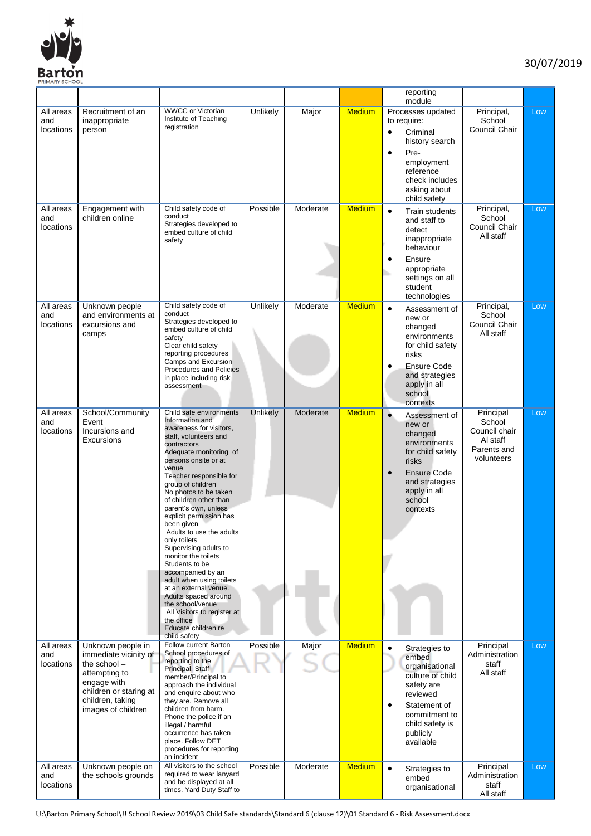

|                               |                                                                                                                                                                |                                                                                                                                                                                                                                                                                                                                                                                                                                                                                                                                                                                                                                                                      |          |          |               | reporting<br>module                                                                                                                                                                            |                                                                               |     |
|-------------------------------|----------------------------------------------------------------------------------------------------------------------------------------------------------------|----------------------------------------------------------------------------------------------------------------------------------------------------------------------------------------------------------------------------------------------------------------------------------------------------------------------------------------------------------------------------------------------------------------------------------------------------------------------------------------------------------------------------------------------------------------------------------------------------------------------------------------------------------------------|----------|----------|---------------|------------------------------------------------------------------------------------------------------------------------------------------------------------------------------------------------|-------------------------------------------------------------------------------|-----|
| All areas<br>and<br>locations | Recruitment of an<br>inappropriate<br>person                                                                                                                   | <b>WWCC or Victorian</b><br>Institute of Teaching<br>registration                                                                                                                                                                                                                                                                                                                                                                                                                                                                                                                                                                                                    | Unlikely | Major    | <b>Medium</b> | Processes updated<br>to require:<br>Criminal<br>$\bullet$<br>history search<br>Pre-<br>$\bullet$<br>employment<br>reference<br>check includes<br>asking about                                  | Principal,<br>School<br>Council Chair                                         | Low |
| All areas<br>and<br>locations | Engagement with<br>children online                                                                                                                             | Child safety code of<br>conduct<br>Strategies developed to<br>embed culture of child<br>safety                                                                                                                                                                                                                                                                                                                                                                                                                                                                                                                                                                       | Possible | Moderate | <b>Medium</b> | child safety<br>$\bullet$<br><b>Train students</b><br>and staff to<br>detect<br>inappropriate<br>behaviour<br>Ensure<br>$\bullet$<br>appropriate<br>settings on all<br>student<br>technologies | Principal,<br>School<br>Council Chair<br>All staff                            | Low |
| All areas<br>and<br>locations | Unknown people<br>and environments at<br>excursions and<br>camps                                                                                               | Child safety code of<br>conduct<br>Strategies developed to<br>embed culture of child<br>safety<br>Clear child safety<br>reporting procedures<br>Camps and Excursion<br>Procedures and Policies<br>in place including risk<br>assessment                                                                                                                                                                                                                                                                                                                                                                                                                              | Unlikely | Moderate | <b>Medium</b> | $\bullet$<br>Assessment of<br>new or<br>changed<br>environments<br>for child safety<br>risks<br><b>Ensure Code</b><br>6<br>and strategies<br>apply in all<br>school<br>contexts                | Principal,<br>School<br>Council Chair<br>All staff                            | Low |
| All areas<br>and<br>locations | School/Community<br>Event<br>Incursions and<br>Excursions                                                                                                      | Child safe environments<br>Information and<br>awareness for visitors,<br>staff, volunteers and<br>contractors<br>Adequate monitoring of<br>persons onsite or at<br>venue<br>Teacher responsible for<br>group of children<br>No photos to be taken<br>of children other than<br>parent's own, unless<br>explicit permission has<br>been given<br>Adults to use the adults<br>only toilets<br>Supervising adults to<br>monitor the toilets<br>Students to be<br>accompanied by an<br>adult when using toilets<br>at an external venue.<br>Adults spaced around<br>the school/venue<br>All Visitors to register at<br>the office<br>Educate children re<br>child safety | Unlikely | Moderate | <b>Medium</b> | $\bullet$<br>Assessment of<br>new or<br>changed<br>environments<br>for child safety<br>risks<br><b>Ensure Code</b><br>$\bullet$<br>and strategies<br>apply in all<br>school<br>contexts        | Principal<br>School<br>Council chair<br>AI staff<br>Parents and<br>volunteers | Low |
| All areas<br>and<br>locations | Unknown people in<br>immediate vicinity of<br>the school -<br>attempting to<br>engage with<br>children or staring at<br>children, taking<br>images of children | Follow current Barton<br>School procedures of<br>reporting to the<br>Principal. Staff<br>member/Principal to<br>approach the individual<br>and enquire about who<br>they are. Remove all<br>children from harm.<br>Phone the police if an<br>illegal / harmful<br>occurrence has taken<br>place. Follow DET<br>procedures for reporting<br>an incident                                                                                                                                                                                                                                                                                                               | Possible | Major    | <b>Medium</b> | $\bullet$<br>Strategies to<br>embed<br>organisational<br>culture of child<br>safety are<br>reviewed<br>Statement of<br>6<br>commitment to<br>child safety is<br>publicly<br>available          | Principal<br>Administration<br>staff<br>All staff                             | Low |
| All areas<br>and<br>locations | Unknown people on<br>the schools grounds                                                                                                                       | All visitors to the school<br>required to wear lanyard<br>and be displayed at all<br>times. Yard Duty Staff to                                                                                                                                                                                                                                                                                                                                                                                                                                                                                                                                                       | Possible | Moderate | <b>Medium</b> | $\bullet$<br>Strategies to<br>embed<br>organisational                                                                                                                                          | Principal<br>Administration<br>staff<br>All staff                             | Low |

U:\Barton Primary School\!! School Review 2019\03 Child Safe standards\Standard 6 (clause 12)\01 Standard 6 - Risk Assessment.docx